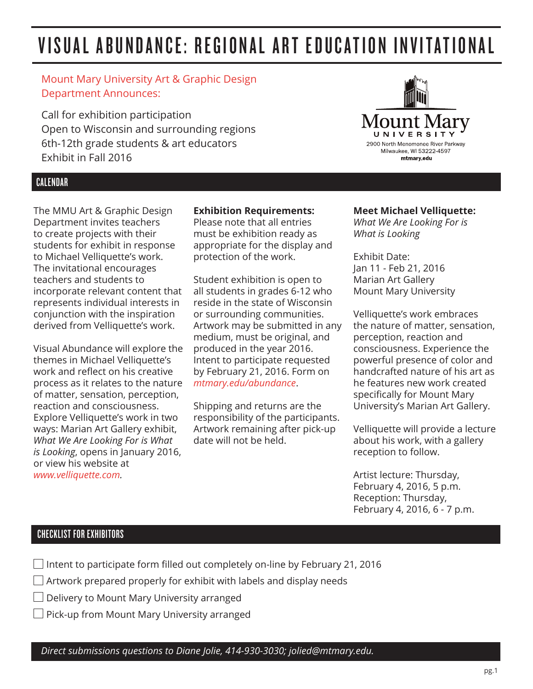# VISUAL ABUNDANCE: REGIONAL ART EDUCATION INVITATIONAL

## Mount Mary University Art & Graphic Design Department Announces:

Call for exhibition participation Open to Wisconsin and surrounding regions 6th-12th grade students & art educators Exhibit in Fall 2016

## CALENDAR

The MMU Art & Graphic Design Department invites teachers to create projects with their students for exhibit in response to Michael Velliquette's work. The invitational encourages teachers and students to incorporate relevant content that represents individual interests in conjunction with the inspiration derived from Velliquette's work.

Visual Abundance will explore the themes in Michael Velliquette's work and reflect on his creative process as it relates to the nature of matter, sensation, perception, reaction and consciousness. Explore Velliquette's work in two ways: Marian Art Gallery exhibit, *What We Are Looking For is What is Looking*, opens in January 2016, or view his website at *www.velliquette.com.*

### **Exhibition Requirements:**

Please note that all entries must be exhibition ready as appropriate for the display and protection of the work.

Student exhibition is open to all students in grades 6-12 who reside in the state of Wisconsin or surrounding communities. Artwork may be submitted in any medium, must be original, and produced in the year 2016. Intent to participate requested by February 21, 2016. Form on *mtmary.edu/abundance*.

Shipping and returns are the responsibility of the participants. Artwork remaining after pick-up date will not be held.



#### **Meet Michael Velliquette:**

*What We Are Looking For is What is Looking* 

Exhibit Date: Jan 11 - Feb 21, 2016 Marian Art Gallery Mount Mary University

Velliquette's work embraces the nature of matter, sensation, perception, reaction and consciousness. Experience the powerful presence of color and handcrafted nature of his art as he features new work created specifically for Mount Mary University's Marian Art Gallery.

Velliquette will provide a lecture about his work, with a gallery reception to follow.

Artist lecture: Thursday, February 4, 2016, 5 p.m. Reception: Thursday, February 4, 2016, 6 - 7 p.m.

## CHECKLIST FOR EXHIBITORS

- Intent to participate form filled out completely on-line by February 21, 2016
- $\Box$  Artwork prepared properly for exhibit with labels and display needs
- Delivery to Mount Mary University arranged
- $\Box$  Pick-up from Mount Mary University arranged

*Direct submissions questions to Diane Jolie, 414-930-3030; jolied@mtmary.edu.*